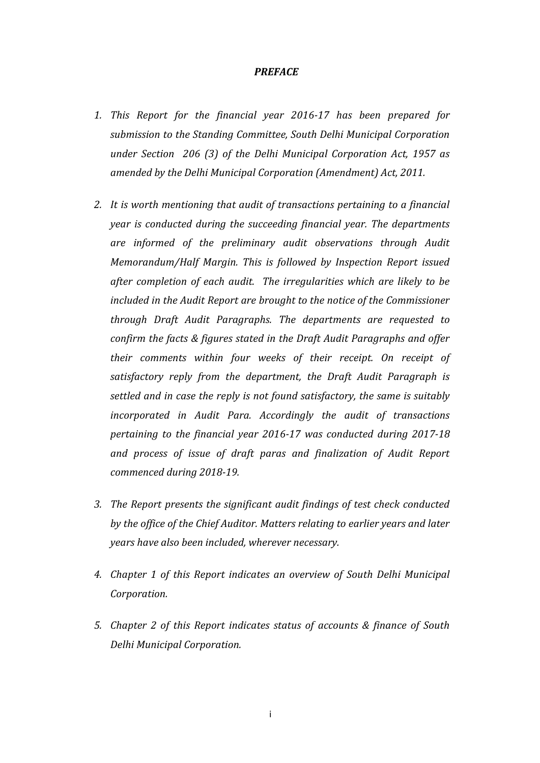#### *PREFACE*

- *1. This Report for the financial year 2016-17 has been prepared for submission to the Standing Committee, South Delhi Municipal Corporation under Section 206 (3) of the Delhi Municipal Corporation Act, 1957 as amended by the Delhi Municipal Corporation (Amendment) Act, 2011.*
- *2. It is worth mentioning that audit of transactions pertaining to a financial year is conducted during the succeeding financial year. The departments are informed of the preliminary audit observations through Audit Memorandum/Half Margin. This is followed by Inspection Report issued after completion of each audit. The irregularities which are likely to be included in the Audit Report are brought to the notice of the Commissioner through Draft Audit Paragraphs. The departments are requested to confirm the facts & figures stated in the Draft Audit Paragraphs and offer their comments within four weeks of their receipt. On receipt of satisfactory reply from the department, the Draft Audit Paragraph is settled and in case the reply is not found satisfactory, the same is suitably incorporated in Audit Para. Accordingly the audit of transactions pertaining to the financial year 2016-17 was conducted during 2017-18 and process of issue of draft paras and finalization of Audit Report commenced during 2018-19.*
- *3. The Report presents the significant audit findings of test check conducted by the office of the Chief Auditor. Matters relating to earlier years and later years have also been included, wherever necessary.*
- *4. Chapter 1 of this Report indicates an overview of South Delhi Municipal Corporation.*
- *5. Chapter 2 of this Report indicates status of accounts & finance of South Delhi Municipal Corporation.*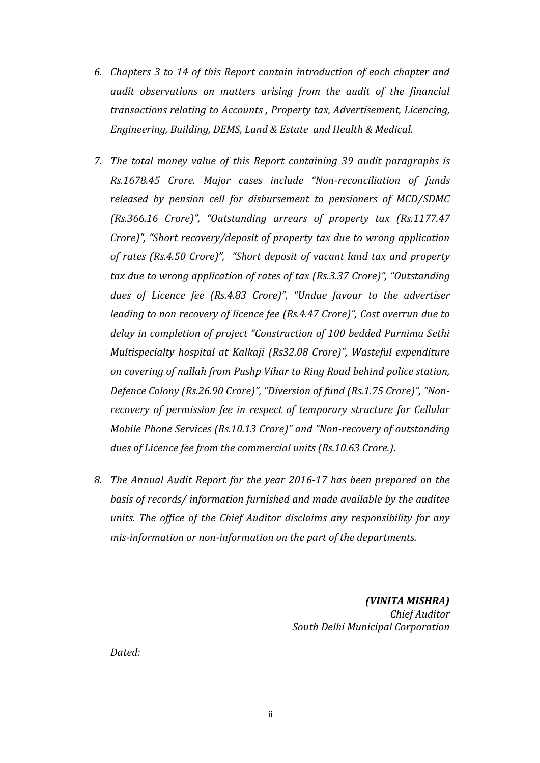- *6. Chapters 3 to 14 of this Report contain introduction of each chapter and audit observations on matters arising from the audit of the financial transactions relating to Accounts , Property tax, Advertisement, Licencing, Engineering, Building, DEMS, Land & Estate and Health & Medical.*
- *7. The total money value of this Report containing 39 audit paragraphs is Rs.1678.45 Crore. Major cases include "Non-reconciliation of funds released by pension cell for disbursement to pensioners of MCD/SDMC (Rs.366.16 Crore)", "Outstanding arrears of property tax (Rs.1177.47 Crore)", "Short recovery/deposit of property tax due to wrong application of rates (Rs.4.50 Crore)", "Short deposit of vacant land tax and property tax due to wrong application of rates of tax (Rs.3.37 Crore)", "Outstanding dues of Licence fee (Rs.4.83 Crore)", "Undue favour to the advertiser leading to non recovery of licence fee (Rs.4.47 Crore)", Cost overrun due to delay in completion of project "Construction of 100 bedded Purnima Sethi Multispecialty hospital at Kalkaji (Rs32.08 Crore)", Wasteful expenditure on covering of nallah from Pushp Vihar to Ring Road behind police station, Defence Colony (Rs.26.90 Crore)", "Diversion of fund (Rs.1.75 Crore)", "Nonrecovery of permission fee in respect of temporary structure for Cellular Mobile Phone Services (Rs.10.13 Crore)" and "Non-recovery of outstanding dues of Licence fee from the commercial units (Rs.10.63 Crore.).*
- *8. The Annual Audit Report for the year 2016-17 has been prepared on the basis of records/ information furnished and made available by the auditee units. The office of the Chief Auditor disclaims any responsibility for any mis-information or non-information on the part of the departments.*

*(VINITA MISHRA) Chief Auditor South Delhi Municipal Corporation*

*Dated:*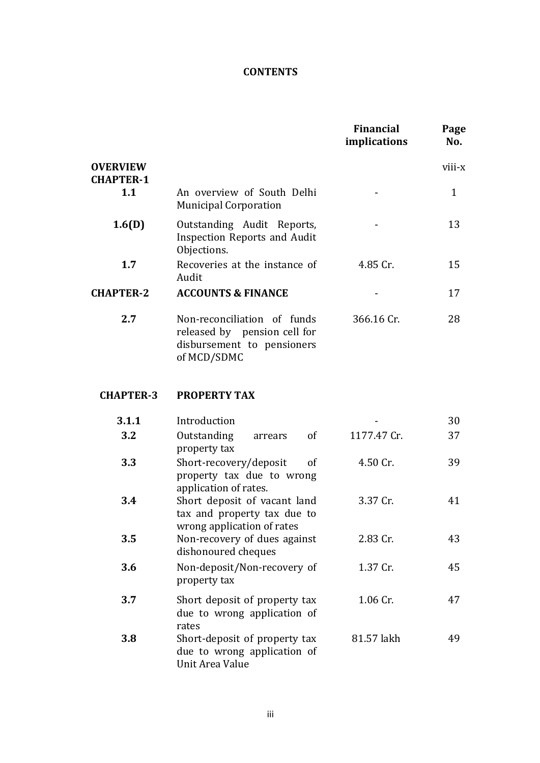# **CONTENTS**

|                                     |                                                                                                          | <b>Financial</b><br>implications | Page<br>No.  |
|-------------------------------------|----------------------------------------------------------------------------------------------------------|----------------------------------|--------------|
| <b>OVERVIEW</b><br><b>CHAPTER-1</b> |                                                                                                          |                                  | viii-x       |
| 1.1                                 | An overview of South Delhi<br><b>Municipal Corporation</b>                                               |                                  | $\mathbf{1}$ |
| 1.6(D)                              | Outstanding Audit Reports,<br>Inspection Reports and Audit<br>Objections.                                |                                  | 13           |
| 1.7                                 | Recoveries at the instance of<br>Audit                                                                   | 4.85 Cr.                         | 15           |
| <b>CHAPTER-2</b>                    | <b>ACCOUNTS &amp; FINANCE</b>                                                                            |                                  | 17           |
| 2.7                                 | Non-reconciliation of funds<br>released by pension cell for<br>disbursement to pensioners<br>of MCD/SDMC | 366.16 Cr.                       | 28           |
| <b>CHAPTER-3</b>                    | <b>PROPERTY TAX</b>                                                                                      |                                  |              |
| 3.1.1                               | Introduction                                                                                             |                                  | 30           |
| 3.2                                 | Outstanding<br>$\sigma$ f<br>arrears<br>property tax                                                     | 1177.47 Cr.                      | 37           |
| 3.3                                 | Short-recovery/deposit<br><sub>of</sub><br>property tax due to wrong<br>application of rates.            | 4.50 Cr.                         | 39           |
| 3.4                                 | Short deposit of vacant land<br>tay and property tay due to                                              | 3.37 Cr.                         | 41           |

| J.I | SHOLL GEDOSIL OI VALAIIL IAIIU<br>tax and property tax due to<br>wrong application of rates | 5.57 U.I   | 4 L |
|-----|---------------------------------------------------------------------------------------------|------------|-----|
| 3.5 | Non-recovery of dues against<br>dishonoured cheques                                         | 2.83 Cr.   | 43  |
| 3.6 | Non-deposit/Non-recovery of<br>property tax                                                 | 1.37 Cr.   | 45  |
| 3.7 | Short deposit of property tax<br>due to wrong application of<br>rates                       | $1.06$ Cr. | 47  |
| 3.8 | Short-deposit of property tax<br>due to wrong application of<br>Unit Area Value             | 81.57 lakh | 49  |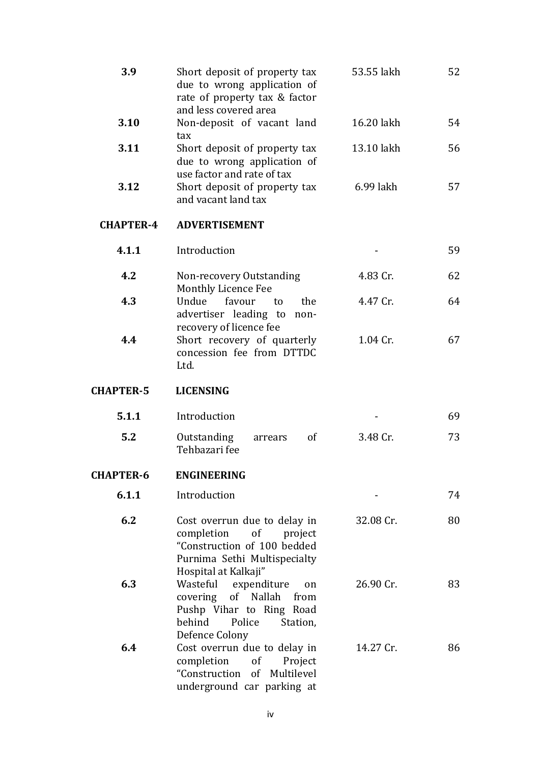| 3.9              | Short deposit of property tax<br>due to wrong application of<br>rate of property tax & factor<br>and less covered area                             | 53.55 lakh | 52 |
|------------------|----------------------------------------------------------------------------------------------------------------------------------------------------|------------|----|
| 3.10             | Non-deposit of vacant land<br>tax                                                                                                                  | 16.20 lakh | 54 |
| 3.11             | Short deposit of property tax<br>due to wrong application of                                                                                       | 13.10 lakh | 56 |
| 3.12             | use factor and rate of tax<br>Short deposit of property tax<br>and vacant land tax                                                                 | 6.99 lakh  | 57 |
| <b>CHAPTER-4</b> | <b>ADVERTISEMENT</b>                                                                                                                               |            |    |
| 4.1.1            | Introduction                                                                                                                                       |            | 59 |
| 4.2              | Non-recovery Outstanding<br>Monthly Licence Fee                                                                                                    | 4.83 Cr.   | 62 |
| 4.3              | Undue favour<br>the<br>to<br>advertiser leading to<br>non-                                                                                         | 4.47 Cr.   | 64 |
| 4.4              | recovery of licence fee<br>Short recovery of quarterly<br>concession fee from DTTDC<br>Ltd.                                                        | 1.04 Cr.   | 67 |
| <b>CHAPTER-5</b> | <b>LICENSING</b>                                                                                                                                   |            |    |
| 5.1.1            | Introduction                                                                                                                                       |            | 69 |
| 5.2              | Outstanding<br>of<br>arrears<br>Tehbazari fee                                                                                                      | 3.48 Cr.   | 73 |
| <b>CHAPTER-6</b> | <b>ENGINEERING</b>                                                                                                                                 |            |    |
| 6.1.1            | Introduction                                                                                                                                       |            | 74 |
| 6.2              | Cost overrun due to delay in<br>completion<br>of<br>project<br>"Construction of 100 bedded<br>Purnima Sethi Multispecialty<br>Hospital at Kalkaji" | 32.08 Cr.  | 80 |
| 6.3              | Wasteful expenditure<br>on<br>covering<br>of Nallah<br>from<br>Pushp Vihar to Ring Road<br>behind<br>Police<br>Station,<br>Defence Colony          | 26.90 Cr.  | 83 |
| 6.4              | Cost overrun due to delay in<br>completion<br>of<br>Project<br>"Construction<br>of<br>Multilevel<br>underground car parking at                     | 14.27 Cr.  | 86 |

iv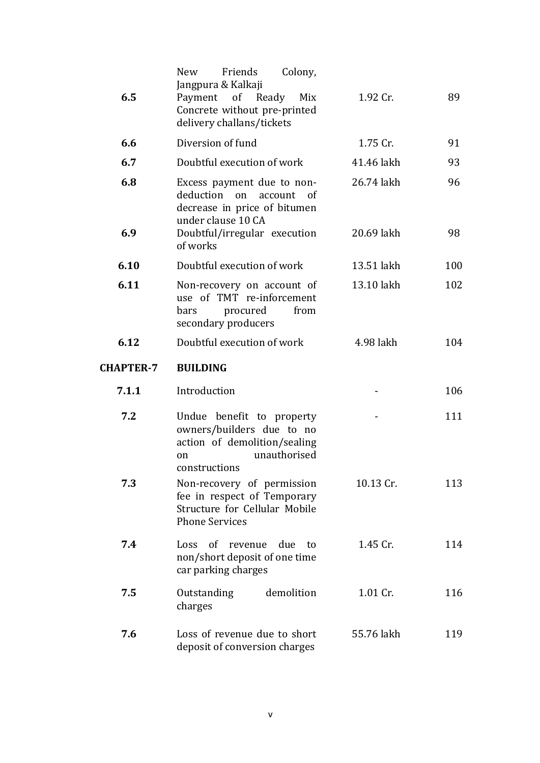| 6.5              | Friends<br>Colony,<br>New<br>Jangpura & Kalkaji<br>Payment of Ready<br>Mix<br>Concrete without pre-printed<br>delivery challans/tickets | 1.92 Cr.   | 89  |
|------------------|-----------------------------------------------------------------------------------------------------------------------------------------|------------|-----|
| 6.6              | Diversion of fund                                                                                                                       | 1.75 Cr.   | 91  |
| 6.7              | Doubtful execution of work                                                                                                              | 41.46 lakh | 93  |
| 6.8              | Excess payment due to non-<br>deduction<br>on<br>account of<br>decrease in price of bitumen<br>under clause 10 CA                       | 26.74 lakh | 96  |
| 6.9              | Doubtful/irregular execution<br>of works                                                                                                | 20.69 lakh | 98  |
| 6.10             | Doubtful execution of work                                                                                                              | 13.51 lakh | 100 |
| 6.11             | Non-recovery on account of<br>use of TMT re-inforcement<br>procured<br>from<br>bars<br>secondary producers                              | 13.10 lakh | 102 |
| 6.12             | Doubtful execution of work                                                                                                              | 4.98 lakh  | 104 |
| <b>CHAPTER-7</b> | <b>BUILDING</b>                                                                                                                         |            |     |
|                  |                                                                                                                                         |            |     |
| 7.1.1            | Introduction                                                                                                                            |            | 106 |
| 7.2              | Undue benefit to property<br>owners/builders due to no<br>action of demolition/sealing<br>unauthorised<br>on<br>constructions           |            | 111 |
| 7.3              | Non-recovery of permission<br>fee in respect of Temporary<br>Structure for Cellular Mobile<br><b>Phone Services</b>                     | 10.13 Cr.  | 113 |
| 7.4              | Loss of revenue<br>due<br>to<br>non/short deposit of one time<br>car parking charges                                                    | 1.45 Cr.   | 114 |
| 7.5              | demolition<br>Outstanding<br>charges                                                                                                    | 1.01 Cr.   | 116 |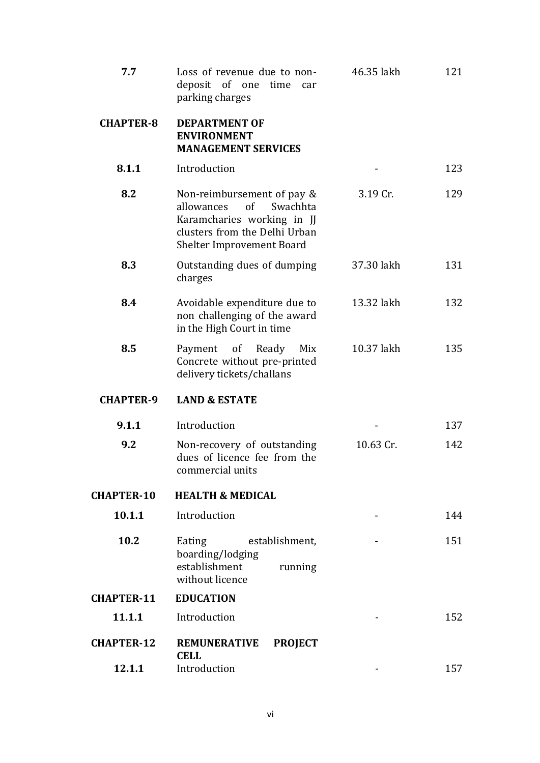| 7.7               | Loss of revenue due to non-<br>deposit of one<br>time<br>car<br>parking charges                                                                               | 46.35 lakh | 121 |
|-------------------|---------------------------------------------------------------------------------------------------------------------------------------------------------------|------------|-----|
| <b>CHAPTER-8</b>  | <b>DEPARTMENT OF</b><br><b>ENVIRONMENT</b><br><b>MANAGEMENT SERVICES</b>                                                                                      |            |     |
| 8.1.1             | Introduction                                                                                                                                                  |            | 123 |
| 8.2               | Non-reimbursement of pay &<br>of<br>allowances<br>Swachhta<br>Karamcharies working in JJ<br>clusters from the Delhi Urban<br><b>Shelter Improvement Board</b> | 3.19 Cr.   | 129 |
| 8.3               | Outstanding dues of dumping<br>charges                                                                                                                        | 37.30 lakh | 131 |
| 8.4               | Avoidable expenditure due to<br>non challenging of the award<br>in the High Court in time                                                                     | 13.32 lakh | 132 |
| 8.5               | Ready<br>Payment of<br>Mix<br>Concrete without pre-printed<br>delivery tickets/challans                                                                       | 10.37 lakh | 135 |
| <b>CHAPTER-9</b>  | <b>LAND &amp; ESTATE</b>                                                                                                                                      |            |     |
| 9.1.1             | Introduction                                                                                                                                                  |            | 137 |
| 9.2               | Non-recovery of outstanding<br>dues of licence fee from the<br>commercial units                                                                               | 10.63 Cr.  | 142 |
| <b>CHAPTER-10</b> | <b>HEALTH &amp; MEDICAL</b>                                                                                                                                   |            |     |
| 10.1.1            | Introduction                                                                                                                                                  |            | 144 |
| 10.2              | establishment,<br>Eating<br>boarding/lodging<br>establishment<br>running<br>without licence                                                                   |            | 151 |
| <b>CHAPTER-11</b> | <b>EDUCATION</b>                                                                                                                                              |            |     |
| 11.1.1            | Introduction                                                                                                                                                  |            | 152 |
| <b>CHAPTER-12</b> | <b>PROJECT</b><br><b>REMUNERATIVE</b><br><b>CELL</b>                                                                                                          |            |     |
| 12.1.1            | Introduction                                                                                                                                                  |            | 157 |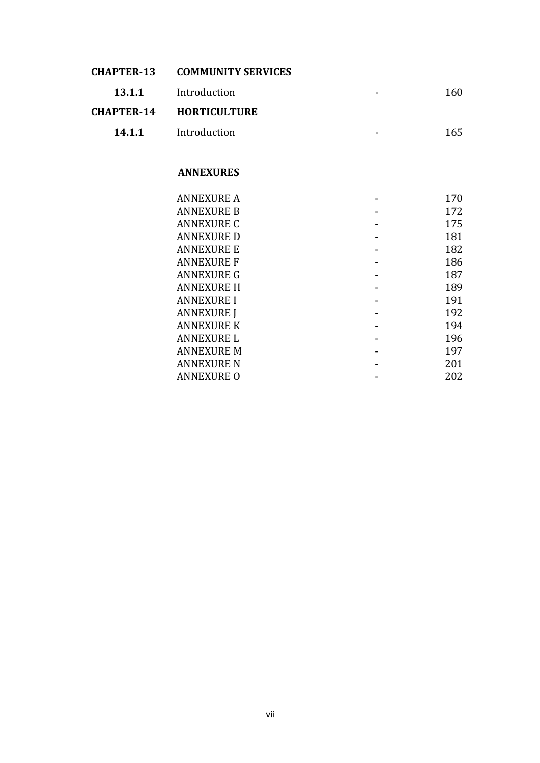# **CHAPTER-13 COMMUNITY SERVICES**

| 13.1.1 | Introduction                   | $\blacksquare$ | 160 |
|--------|--------------------------------|----------------|-----|
|        | <b>CHAPTER-14 HORTICULTURE</b> |                |     |
| 14.1.1 | Introduction                   | $\blacksquare$ | 165 |

# **ANNEXURES**

| <b>ANNEXURE A</b> | 170 |
|-------------------|-----|
| <b>ANNEXURE B</b> | 172 |
| <b>ANNEXURE C</b> | 175 |
| <b>ANNEXURE D</b> | 181 |
| <b>ANNEXURE E</b> | 182 |
| <b>ANNEXURE F</b> | 186 |
| <b>ANNEXURE G</b> | 187 |
| <b>ANNEXURE H</b> | 189 |
| <b>ANNEXURE I</b> | 191 |
| <b>ANNEXURE J</b> | 192 |
| <b>ANNEXURE K</b> | 194 |
| <b>ANNEXURE L</b> | 196 |
| <b>ANNEXURE M</b> | 197 |
| <b>ANNEXURE N</b> | 201 |
| <b>ANNEXURE O</b> | 202 |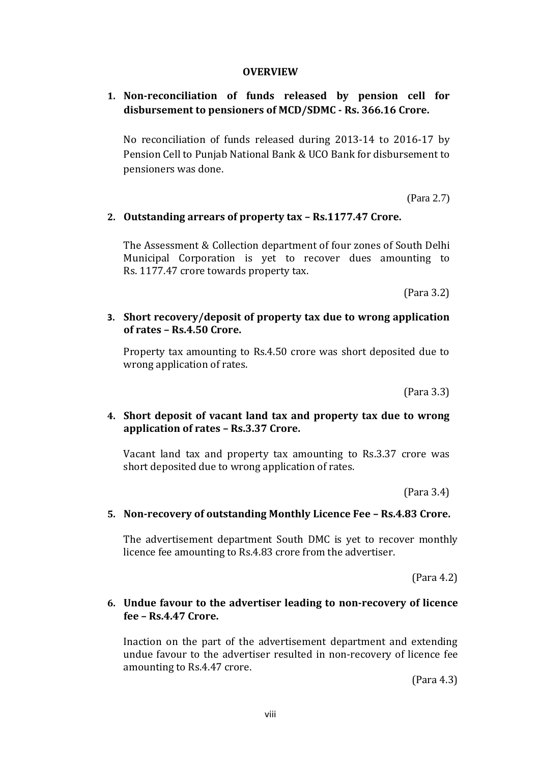#### **OVERVIEW**

# **1. Non-reconciliation of funds released by pension cell for disbursement to pensioners of MCD/SDMC - Rs. 366.16 Crore.**

No reconciliation of funds released during 2013-14 to 2016-17 by Pension Cell to Punjab National Bank & UCO Bank for disbursement to pensioners was done.

(Para 2.7)

# **2. Outstanding arrears of property tax – Rs.1177.47 Crore.**

The Assessment & Collection department of four zones of South Delhi Municipal Corporation is yet to recover dues amounting to Rs. 1177.47 crore towards property tax.

(Para 3.2)

#### **3. Short recovery/deposit of property tax due to wrong application of rates – Rs.4.50 Crore.**

Property tax amounting to Rs.4.50 crore was short deposited due to wrong application of rates.

(Para 3.3)

# **4. Short deposit of vacant land tax and property tax due to wrong application of rates – Rs.3.37 Crore.**

Vacant land tax and property tax amounting to Rs.3.37 crore was short deposited due to wrong application of rates.

(Para 3.4)

### **5. Non-recovery of outstanding Monthly Licence Fee – Rs.4.83 Crore.**

The advertisement department South DMC is yet to recover monthly licence fee amounting to Rs.4.83 crore from the advertiser.

(Para 4.2)

### **6. Undue favour to the advertiser leading to non-recovery of licence fee – Rs.4.47 Crore.**

Inaction on the part of the advertisement department and extending undue favour to the advertiser resulted in non-recovery of licence fee amounting to Rs.4.47 crore.

(Para 4.3)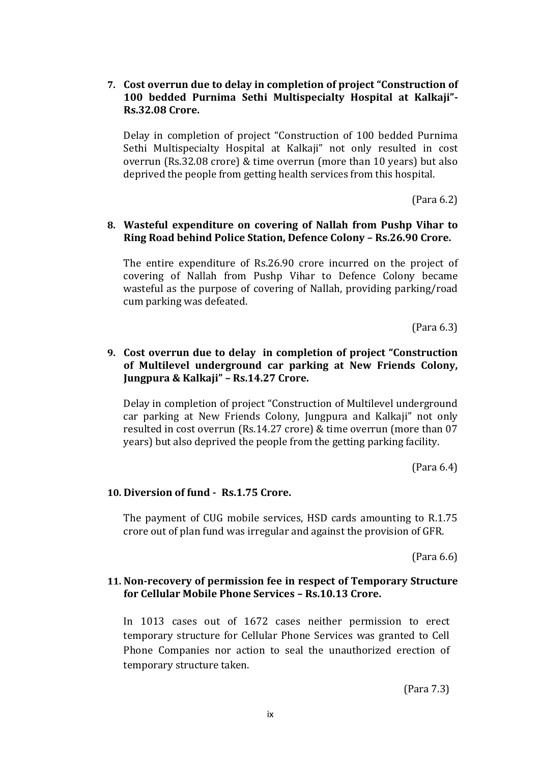### **7. Cost overrun due to delay in completion of project "Construction of 100 bedded Purnima Sethi Multispecialty Hospital at Kalkaji"- Rs.32.08 Crore.**

Delay in completion of project "Construction of 100 bedded Purnima Sethi Multispecialty Hospital at Kalkaji" not only resulted in cost overrun (Rs.32.08 crore) & time overrun (more than 10 years) but also deprived the people from getting health services from this hospital.

(Para 6.2)

#### **8. Wasteful expenditure on covering of Nallah from Pushp Vihar to Ring Road behind Police Station, Defence Colony – Rs.26.90 Crore.**

The entire expenditure of Rs.26.90 crore incurred on the project of covering of Nallah from Pushp Vihar to Defence Colony became wasteful as the purpose of covering of Nallah, providing parking/road cum parking was defeated.

(Para 6.3)

### **9. Cost overrun due to delay in completion of project "Construction of Multilevel underground car parking at New Friends Colony, Jungpura & Kalkaji" – Rs.14.27 Crore.**

Delay in completion of project "Construction of Multilevel underground car parking at New Friends Colony, Jungpura and Kalkaji" not only resulted in cost overrun (Rs.14.27 crore) & time overrun (more than 07 years) but also deprived the people from the getting parking facility.

(Para 6.4)

### **10. Diversion of fund - Rs.1.75 Crore.**

The payment of CUG mobile services, HSD cards amounting to R.1.75 crore out of plan fund was irregular and against the provision of GFR.

(Para 6.6)

#### **11. Non-recovery of permission fee in respect of Temporary Structure for Cellular Mobile Phone Services – Rs.10.13 Crore.**

In 1013 cases out of 1672 cases neither permission to erect temporary structure for Cellular Phone Services was granted to Cell Phone Companies nor action to seal the unauthorized erection of temporary structure taken.

(Para 7.3)